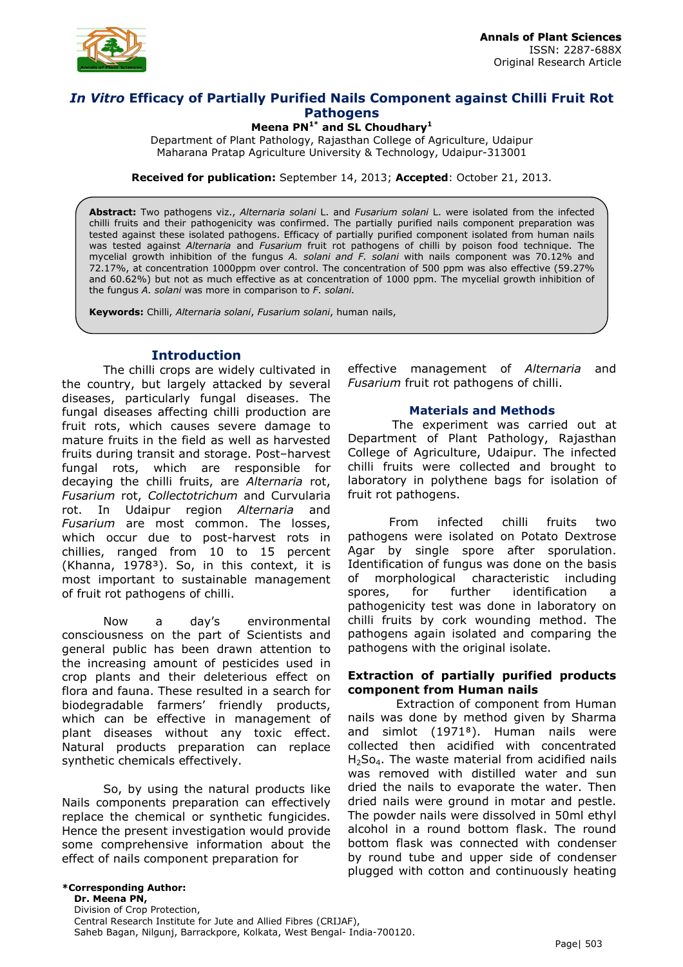

## *In Vitro* **Efficacy of Partially Purified Nails Component against Chilli Fruit Rot Pathogens**

**Meena PN1\* and SL Choudhary<sup>1</sup>**

Department of Plant Pathology, Rajasthan College of Agriculture, Udaipur Maharana Pratap Agriculture University & Technology, Udaipur-313001

**Received for publication:** September 14, 2013; **Accepted**: October 21, 2013.

**Abstract:** Two pathogens viz., *Alternaria solani* L. and *Fusarium solani* L. were isolated from the infected chilli fruits and their pathogenicity was confirmed. The partially purified nails component preparation was tested against these isolated pathogens. Efficacy of partially purified component isolated from human nails was tested against *Alternaria* and *Fusarium* fruit rot pathogens of chilli by poison food technique. The mycelial growth inhibition of the fungus *A. solani and F. solani* with nails component was 70.12% and 72.17%, at concentration 1000ppm over control. The concentration of 500 ppm was also effective (59.27% and 60.62%) but not as much effective as at concentration of 1000 ppm. The mycelial growth inhibition of the fungus *A. solani* was more in comparison to *F. solani.*

**Keywords:** Chilli, *Alternaria solani*, *Fusarium solani*, human nails,

## **Introduction**

The chilli crops are widely cultivated in the country, but largely attacked by several diseases, particularly fungal diseases. The fungal diseases affecting chilli production are fruit rots, which causes severe damage to mature fruits in the field as well as harvested fruits during transit and storage. Post–harvest fungal rots, which are responsible for decaying the chilli fruits, are *Alternaria* rot, *Fusarium* rot, *Collectotrichum* and Curvularia rot. In Udaipur region *Alternaria* and *Fusarium* are most common. The losses, which occur due to post-harvest rots in chillies, ranged from 10 to 15 percent (Khanna, 1978<sup>3</sup>). So, in this context, it is most important to sustainable management of fruit rot pathogens of chilli.

Now a day's environmental consciousness on the part of Scientists and general public has been drawn attention to the increasing amount of pesticides used in crop plants and their deleterious effect on flora and fauna. These resulted in a search for biodegradable farmers' friendly products, which can be effective in management of plant diseases without any toxic effect. Natural products preparation can replace synthetic chemicals effectively.

So, by using the natural products like Nails components preparation can effectively replace the chemical or synthetic fungicides. Hence the present investigation would provide some comprehensive information about the effect of nails component preparation for

effective management of *Alternaria* and *Fusarium* fruit rot pathogens of chilli.

#### **Materials and Methods**

 The experiment was carried out at Department of Plant Pathology, Rajasthan College of Agriculture, Udaipur. The infected chilli fruits were collected and brought to laboratory in polythene bags for isolation of fruit rot pathogens.

From infected chilli fruits two pathogens were isolated on Potato Dextrose Agar by single spore after sporulation. Identification of fungus was done on the basis of morphological characteristic including spores, for further identification a pathogenicity test was done in laboratory on chilli fruits by cork wounding method. The pathogens again isolated and comparing the pathogens with the original isolate.

#### **Extraction of partially purified products component from Human nails**

 Extraction of component from Human nails was done by method given by Sharma and simlot (1971<sup>8</sup>). Human nails were collected then acidified with concentrated  $H<sub>2</sub>So<sub>4</sub>$ . The waste material from acidified nails was removed with distilled water and sun dried the nails to evaporate the water. Then dried nails were ground in motar and pestle. The powder nails were dissolved in 50ml ethyl alcohol in a round bottom flask. The round bottom flask was connected with condenser by round tube and upper side of condenser plugged with cotton and continuously heating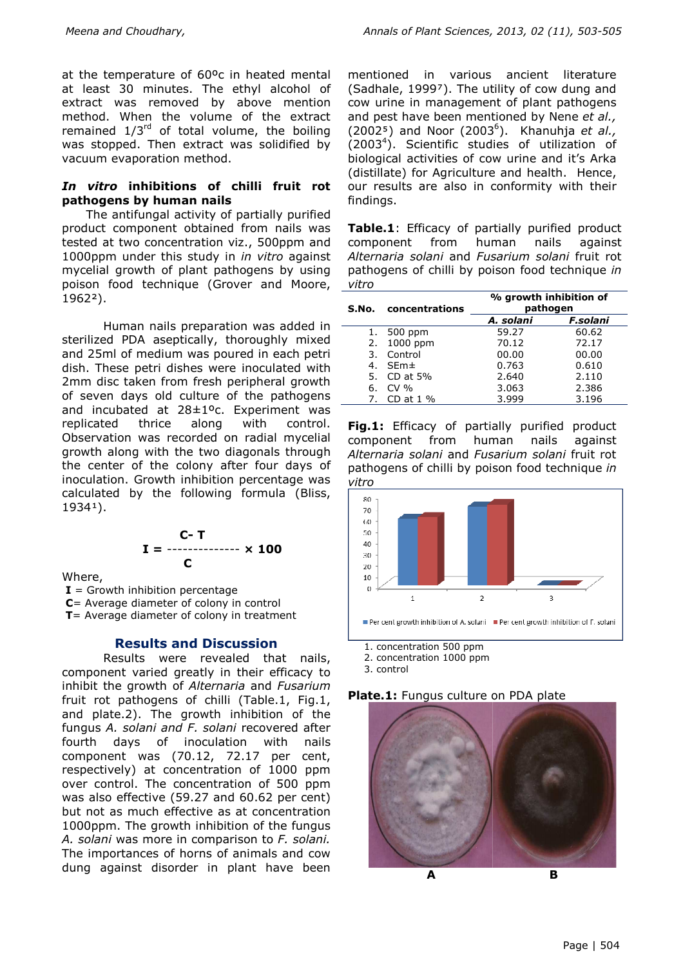at the temperature of 60ºc in heated mental at least 30 minutes. The ethyl alcohol of extract was removed by above mention method. When the volume of the extract remained  $1/3^{rd}$  of total volume, the boiling was stopped. Then extract was solidified by vacuum evaporation method.

### *In vitro* **inhibitions of chilli fruit rot pathogens by human nails**

 The antifungal activity of partially purified product component obtained from nails was tested at two concentration viz., 500ppm and 1000ppm under this study in *in vitro* against mycelial growth of plant pathogens by using poison food technique (Grover and Moore, 1962²).

Human nails preparation was added in  $$ sterilized PDA aseptically, thoroughly mixed and 25ml of medium was poured in each petri dish. These petri dishes were inoculated with 2mm disc taken from fresh peripheral growth of seven days old culture of the pathogens and incubated at 28±1ºc. Experiment was replicated thrice along with control. Observation was recorded on radial mycelial growth along with the two diagonals through the center of the colony after four days of inoculation. Growth inhibition percentage was calculated by the following formula (Bliss, 19341).

$$
I = \frac{C - T}{C}
$$

Where,

 $I =$  Growth inhibition percentage

 **C**= Average diameter of colony in control

 **T**= Average diameter of colony in treatment

#### **Results and Discussion**

Results were revealed that nails, component varied greatly in their efficacy to inhibit the growth of *Alternaria* and *Fusarium*  fruit rot pathogens of chilli (Table.1, Fig.1, and plate.2). The growth inhibition of the fungus *A. solani and F. solani* recovered after fourth days of inoculation with nails component was (70.12, 72.17 per cent, respectively) at concentration of 1000 ppm over control. The concentration of 500 ppm was also effective (59.27 and 60.62 per cent) but not as much effective as at concentration 1000ppm. The growth inhibition of the fungus *A. solani* was more in comparison to *F. solani.* The importances of horns of animals and cow dung against disorder in plant have been

mentioned in various ancient literature (Sadhale, 1999<sup>7</sup>). The utility of cow dung and cow urine in management of plant pathogens and pest have been mentioned by Nene *et al.,* (2002⁵) and Noor (2003<sup>6</sup> ). Khanuhja *et al.,* (2003<sup>4</sup>). Scientific studies of utilization of biological activities of cow urine and it's Arka (distillate) for Agriculture and health. Hence, our results are also in conformity with their findings.

**Table.1**: Efficacy of partially purified product component from human nails against *Alternaria solani* and *Fusarium solani* fruit rot pathogens of chilli by poison food technique *in vitro*

|    | S.No. concentrations | % growth inhibition of<br>pathogen |          |
|----|----------------------|------------------------------------|----------|
|    |                      | A. solani                          | F.solani |
|    | 1. 500 ppm           | 59.27                              | 60.62    |
|    | 2. 1000 ppm          | 70.12                              | 72.17    |
| 3. | Control              | 00.00                              | 00.00    |
| 4. | $SEm\pm$             | 0.763                              | 0.610    |
| 5. | CD at $5%$           | 2.640                              | 2.110    |
| 6. | CV%                  | 3.063                              | 2.386    |
|    | 7. CD at 1 %         | 3.999                              | 3.196    |

**Fig.1:** Efficacy of partially purified product component from human nails against *Alternaria solani* and *Fusarium solani* fruit rot pathogens of chilli by poison food technique *in vitro* 



- 1. concentration 500 ppm
- 2. concentration 1000 ppm

3. control

#### **Plate.1:** Fungus culture on PDA plate